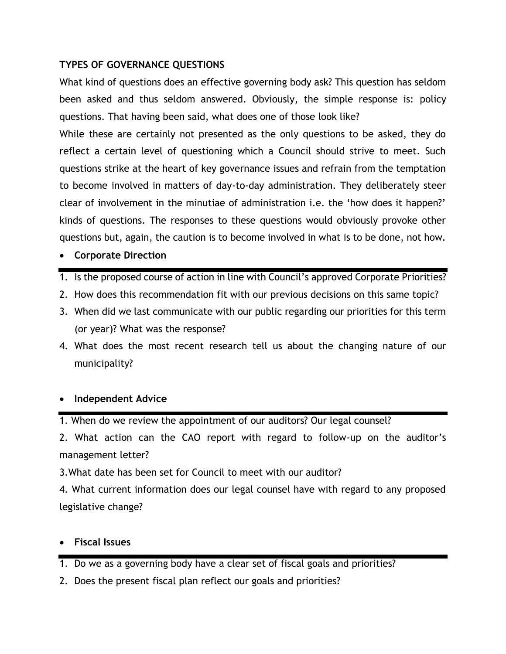## **TYPES OF GOVERNANCE QUESTIONS**

What kind of questions does an effective governing body ask? This question has seldom been asked and thus seldom answered. Obviously, the simple response is: policy questions. That having been said, what does one of those look like?

While these are certainly not presented as the only questions to be asked, they do reflect a certain level of questioning which a Council should strive to meet. Such questions strike at the heart of key governance issues and refrain from the temptation to become involved in matters of day-to-day administration. They deliberately steer clear of involvement in the minutiae of administration i.e. the 'how does it happen?' kinds of questions. The responses to these questions would obviously provoke other questions but, again, the caution is to become involved in what is to be done, not how.

- **Corporate Direction**
- 1. Is the proposed course of action in line with Council's approved Corporate Priorities?
- 2. How does this recommendation fit with our previous decisions on this same topic?
- 3. When did we last communicate with our public regarding our priorities for this term (or year)? What was the response?
- 4. What does the most recent research tell us about the changing nature of our municipality?

## **Independent Advice**

1. When do we review the appointment of our auditors? Our legal counsel?

2. What action can the CAO report with regard to follow-up on the auditor's management letter?

3.What date has been set for Council to meet with our auditor?

4. What current information does our legal counsel have with regard to any proposed legislative change?

## **Fiscal Issues**

- 1. Do we as a governing body have a clear set of fiscal goals and priorities?
- 2. Does the present fiscal plan reflect our goals and priorities?